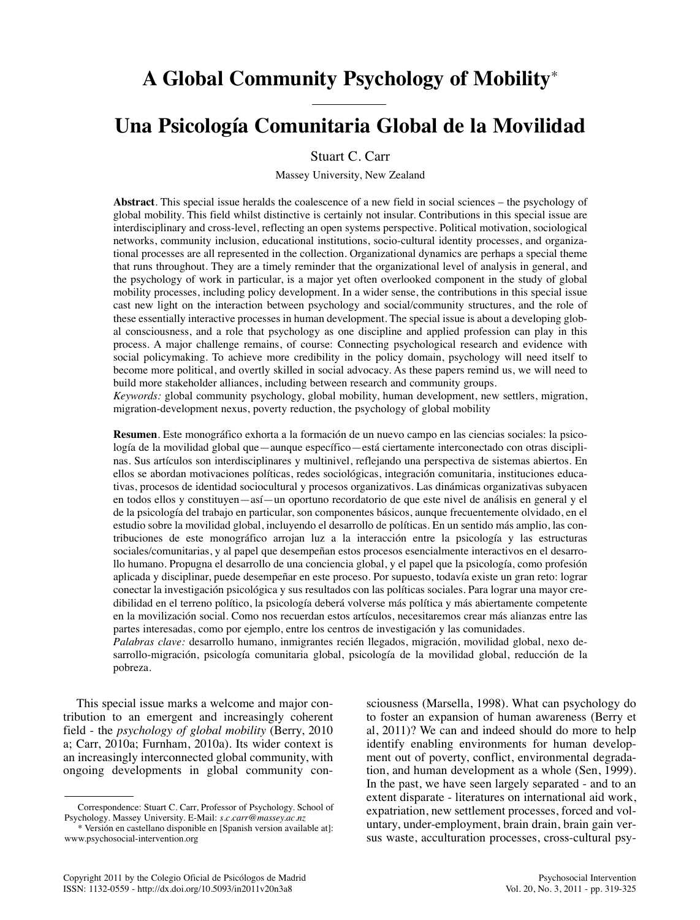# **A Global Community Psychology of Mobility**\*

# **Una Psicología Comunitaria Global de la Movilidad**

# Stuart C. Carr

Massey University, New Zealand

**Abstract**. This special issue heralds the coalescence of a new field in social sciences – the psychology of global mobility. This field whilst distinctive is certainly not insular. Contributions in this special issue are interdisciplinary and cross-level, reflecting an open systems perspective. Political motivation, sociological networks, community inclusion, educational institutions, socio-cultural identity processes, and organizational processes are all represented in the collection. Organizational dynamics are perhaps a special theme that runs throughout. They are a timely reminder that the organizational level of analysis in general, and the psychology of work in particular, is a major yet often overlooked component in the study of global mobility processes, including policy development. In a wider sense, the contributions in this special issue cast new light on the interaction between psychology and social/community structures, and the role of these essentially interactive processes in human development. The special issue is about a developing global consciousness, and a role that psychology as one discipline and applied profession can play in this process. A major challenge remains, of course: Connecting psychological research and evidence with social policymaking. To achieve more credibility in the policy domain, psychology will need itself to become more political, and overtly skilled in social advocacy. As these papers remind us, we will need to build more stakeholder alliances, including between research and community groups.

*Keywords:* global community psychology, global mobility, human development, new settlers, migration, migration-development nexus, poverty reduction, the psychology of global mobility

**Resumen**. Este monográfico exhorta a la formación de un nuevo campo en las ciencias sociales: la psicología de la movilidad global que—aunque específico—está ciertamente interconectado con otras disciplinas. Sus artículos son interdisciplinares y multinivel, reflejando una perspectiva de sistemas abiertos. En ellos se abordan motivaciones políticas, redes sociológicas, integración comunitaria, instituciones educativas, procesos de identidad sociocultural y procesos organizativos. Las dinámicas organizativas subyacen en todos ellos y constituyen—así—un oportuno recordatorio de que este nivel de análisis en general y el de la psicología del trabajo en particular, son componentes básicos, aunque frecuentemente olvidado, en el estudio sobre la movilidad global, incluyendo el desarrollo de políticas. En un sentido más amplio, las contribuciones de este monográfico arrojan luz a la interacción entre la psicología y las estructuras sociales/comunitarias, y al papel que desempeñan estos procesos esencialmente interactivos en el desarrollo humano. Propugna el desarrollo de una conciencia global, y el papel que la psicología, como profesión aplicada y disciplinar, puede desempeñar en este proceso. Por supuesto, todavía existe un gran reto: lograr conectar la investigación psicológica y sus resultados con las políticas sociales. Para lograr una mayor credibilidad en el terreno político, la psicología deberá volverse más política y más abiertamente competente en la movilización social. Como nos recuerdan estos artículos, necesitaremos crear más alianzas entre las partes interesadas, como por ejemplo, entre los centros de investigación y las comunidades.

*Palabras clave:* desarrollo humano, inmigrantes recién llegados, migración, movilidad global, nexo desarrollo-migración, psicología comunitaria global, psicología de la movilidad global, reducción de la pobreza.

This special issue marks a welcome and major contribution to an emergent and increasingly coherent field - the *psychology of global mobility* (Berry, 2010 a; Carr, 2010a; Furnham, 2010a). Its wider context is an increasingly interconnected global community, with ongoing developments in global community consciousness (Marsella, 1998). What can psychology do to foster an expansion of human awareness (Berry et al, 2011)? We can and indeed should do more to help identify enabling environments for human development out of poverty, conflict, environmental degradation, and human development as a whole (Sen, 1999). In the past, we have seen largely separated - and to an extent disparate - literatures on international aid work, expatriation, new settlement processes, forced and voluntary, under-employment, brain drain, brain gain versus waste, acculturation processes, cross-cultural psy-

Correspondence: Stuart C. Carr, Professor of Psychology. School of Psychology. Massey University. E-Mail: *s.c.carr@massey.ac.nz*

<sup>\*</sup> Versión en castellano disponible en [Spanish version available at]: www.psychosocial-intervention.org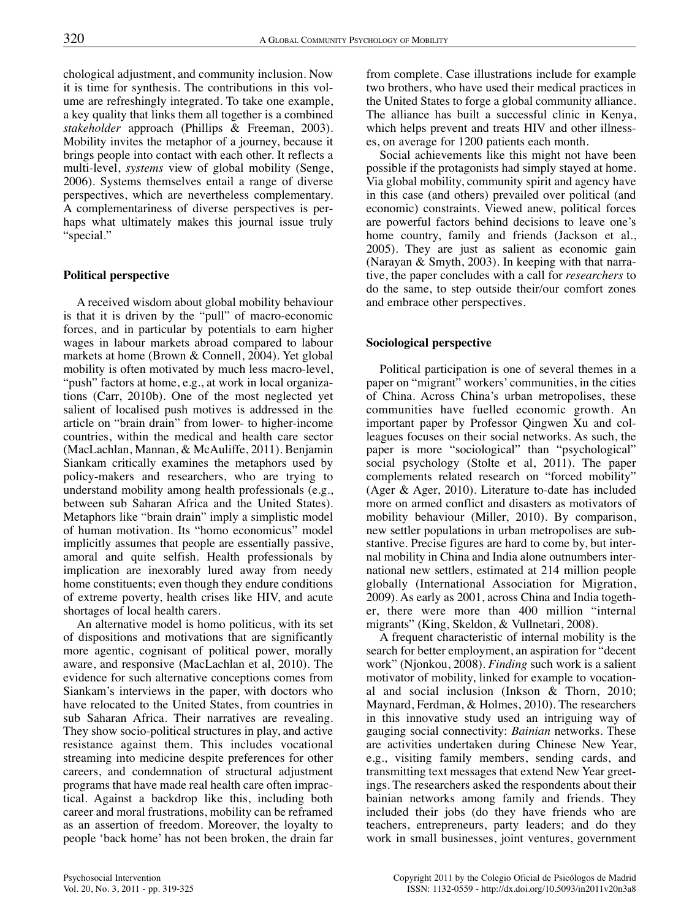chological adjustment, and community inclusion. Now it is time for synthesis. The contributions in this volume are refreshingly integrated. To take one example, a key quality that links them all together is a combined *stakeholder* approach (Phillips & Freeman, 2003). Mobility invites the metaphor of a journey, because it brings people into contact with each other. It reflects a multi-level, *systems* view of global mobility (Senge, 2006). Systems themselves entail a range of diverse perspectives, which are nevertheless complementary. A complementariness of diverse perspectives is perhaps what ultimately makes this journal issue truly "special."

## **Political perspective**

A received wisdom about global mobility behaviour is that it is driven by the "pull" of macro-economic forces, and in particular by potentials to earn higher wages in labour markets abroad compared to labour markets at home (Brown & Connell, 2004). Yet global mobility is often motivated by much less macro-level, "push" factors at home, e.g., at work in local organizations (Carr, 2010b). One of the most neglected yet salient of localised push motives is addressed in the article on "brain drain" from lower- to higher-income countries, within the medical and health care sector (MacLachlan, Mannan, & McAuliffe, 2011). Benjamin Siankam critically examines the metaphors used by policy-makers and researchers, who are trying to understand mobility among health professionals (e.g., between sub Saharan Africa and the United States). Metaphors like "brain drain" imply a simplistic model of human motivation. Its "homo economicus" model implicitly assumes that people are essentially passive, amoral and quite selfish. Health professionals by implication are inexorably lured away from needy home constituents; even though they endure conditions of extreme poverty, health crises like HIV, and acute shortages of local health carers.

An alternative model is homo politicus, with its set of dispositions and motivations that are significantly more agentic, cognisant of political power, morally aware, and responsive (MacLachlan et al, 2010). The evidence for such alternative conceptions comes from Siankam's interviews in the paper, with doctors who have relocated to the United States, from countries in sub Saharan Africa. Their narratives are revealing. They show socio-political structures in play, and active resistance against them. This includes vocational streaming into medicine despite preferences for other careers, and condemnation of structural adjustment programs that have made real health care often impractical. Against a backdrop like this, including both career and moral frustrations, mobility can be reframed as an assertion of freedom. Moreover, the loyalty to people 'back home' has not been broken, the drain far

from complete. Case illustrations include for example two brothers, who have used their medical practices in the United States to forge a global community alliance. The alliance has built a successful clinic in Kenya, which helps prevent and treats HIV and other illnesses, on average for 1200 patients each month.

Social achievements like this might not have been possible if the protagonists had simply stayed at home. Via global mobility, community spirit and agency have in this case (and others) prevailed over political (and economic) constraints. Viewed anew, political forces are powerful factors behind decisions to leave one's home country, family and friends (Jackson et al., 2005). They are just as salient as economic gain (Narayan & Smyth, 2003). In keeping with that narrative, the paper concludes with a call for *researchers* to do the same, to step outside their/our comfort zones and embrace other perspectives.

## **Sociological perspective**

Political participation is one of several themes in a paper on "migrant" workers' communities, in the cities of China. Across China's urban metropolises, these communities have fuelled economic growth. An important paper by Professor Qingwen Xu and colleagues focuses on their social networks. As such, the paper is more "sociological" than "psychological" social psychology (Stolte et al, 2011). The paper complements related research on "forced mobility" (Ager & Ager, 2010). Literature to-date has included more on armed conflict and disasters as motivators of mobility behaviour (Miller, 2010). By comparison, new settler populations in urban metropolises are substantive. Precise figures are hard to come by, but internal mobility in China and India alone outnumbers international new settlers, estimated at 214 million people globally (International Association for Migration, 2009). As early as 2001, across China and India together, there were more than 400 million "internal migrants" (King, Skeldon, & Vullnetari, 2008).

A frequent characteristic of internal mobility is the search for better employment, an aspiration for "decent work" (Njonkou, 2008). *Finding* such work is a salient motivator of mobility, linked for example to vocational and social inclusion (Inkson & Thorn, 2010; Maynard, Ferdman, & Holmes, 2010). The researchers in this innovative study used an intriguing way of gauging social connectivity: *Bainian* networks. These are activities undertaken during Chinese New Year, e.g., visiting family members, sending cards, and transmitting text messages that extend New Year greetings. The researchers asked the respondents about their bainian networks among family and friends. They included their jobs (do they have friends who are teachers, entrepreneurs, party leaders; and do they work in small businesses, joint ventures, government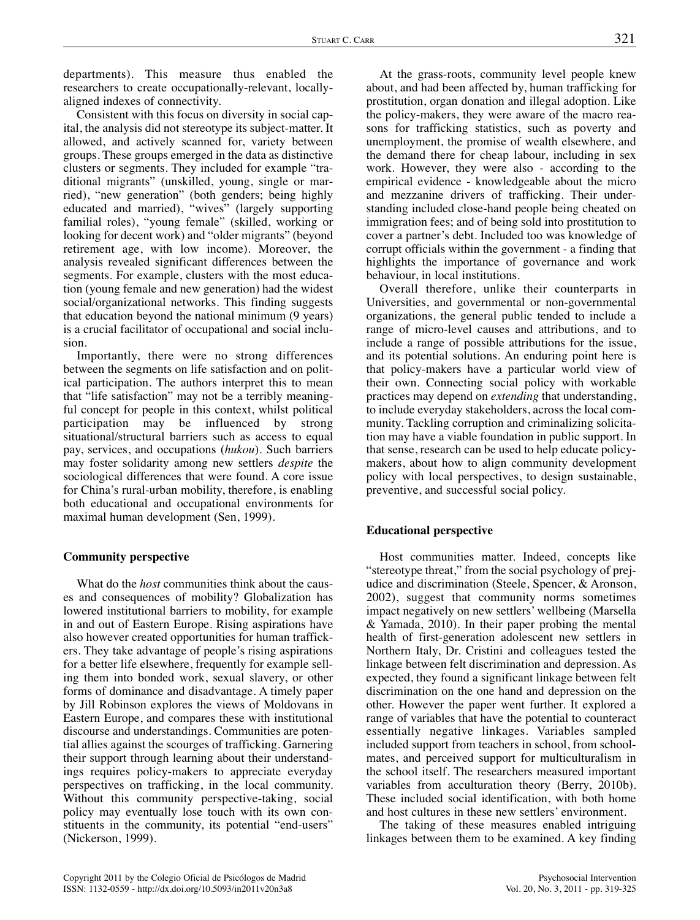departments). This measure thus enabled the researchers to create occupationally-relevant, locallyaligned indexes of connectivity.

Consistent with this focus on diversity in social capital, the analysis did not stereotype its subject-matter. It allowed, and actively scanned for, variety between groups. These groups emerged in the data as distinctive clusters or segments. They included for example "traditional migrants" (unskilled, young, single or married), "new generation" (both genders; being highly educated and married), "wives" (largely supporting familial roles), "young female" (skilled, working or looking for decent work) and "older migrants" (beyond retirement age, with low income). Moreover, the analysis revealed significant differences between the segments. For example, clusters with the most education (young female and new generation) had the widest social/organizational networks. This finding suggests that education beyond the national minimum (9 years) is a crucial facilitator of occupational and social inclusion.

Importantly, there were no strong differences between the segments on life satisfaction and on political participation. The authors interpret this to mean that "life satisfaction" may not be a terribly meaningful concept for people in this context, whilst political participation may be influenced by strong situational/structural barriers such as access to equal pay, services, and occupations (*hukou*). Such barriers may foster solidarity among new settlers *despite* the sociological differences that were found. A core issue for China's rural-urban mobility, therefore, is enabling both educational and occupational environments for maximal human development (Sen, 1999).

#### **Community perspective**

What do the *host* communities think about the causes and consequences of mobility? Globalization has lowered institutional barriers to mobility, for example in and out of Eastern Europe. Rising aspirations have also however created opportunities for human traffickers. They take advantage of people's rising aspirations for a better life elsewhere, frequently for example selling them into bonded work, sexual slavery, or other forms of dominance and disadvantage. A timely paper by Jill Robinson explores the views of Moldovans in Eastern Europe, and compares these with institutional discourse and understandings. Communities are potential allies against the scourges of trafficking. Garnering their support through learning about their understandings requires policy-makers to appreciate everyday perspectives on trafficking, in the local community. Without this community perspective-taking, social policy may eventually lose touch with its own constituents in the community, its potential "end-users" (Nickerson, 1999).

At the grass-roots, community level people knew about, and had been affected by, human trafficking for prostitution, organ donation and illegal adoption. Like the policy-makers, they were aware of the macro reasons for trafficking statistics, such as poverty and unemployment, the promise of wealth elsewhere, and the demand there for cheap labour, including in sex work. However, they were also - according to the empirical evidence - knowledgeable about the micro and mezzanine drivers of trafficking. Their understanding included close-hand people being cheated on immigration fees; and of being sold into prostitution to cover a partner's debt. Included too was knowledge of corrupt officials within the government - a finding that highlights the importance of governance and work behaviour, in local institutions.

Overall therefore, unlike their counterparts in Universities, and governmental or non-governmental organizations, the general public tended to include a range of micro-level causes and attributions, and to include a range of possible attributions for the issue, and its potential solutions. An enduring point here is that policy-makers have a particular world view of their own. Connecting social policy with workable practices may depend on *extending* that understanding, to include everyday stakeholders, across the local community. Tackling corruption and criminalizing solicitation may have a viable foundation in public support. In that sense, research can be used to help educate policymakers, about how to align community development policy with local perspectives, to design sustainable, preventive, and successful social policy.

#### **Educational perspective**

Host communities matter. Indeed, concepts like "stereotype threat," from the social psychology of prejudice and discrimination (Steele, Spencer, & Aronson, 2002), suggest that community norms sometimes impact negatively on new settlers' wellbeing (Marsella & Yamada, 2010). In their paper probing the mental health of first-generation adolescent new settlers in Northern Italy, Dr. Cristini and colleagues tested the linkage between felt discrimination and depression. As expected, they found a significant linkage between felt discrimination on the one hand and depression on the other. However the paper went further. It explored a range of variables that have the potential to counteract essentially negative linkages. Variables sampled included support from teachers in school, from schoolmates, and perceived support for multiculturalism in the school itself. The researchers measured important variables from acculturation theory (Berry, 2010b). These included social identification, with both home and host cultures in these new settlers' environment.

The taking of these measures enabled intriguing linkages between them to be examined. A key finding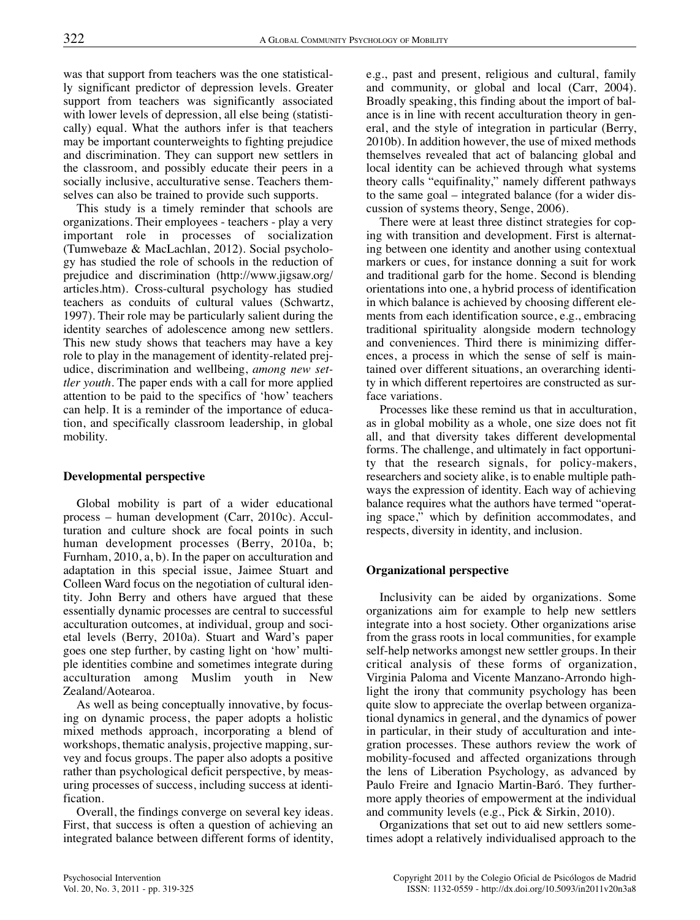was that support from teachers was the one statistically significant predictor of depression levels. Greater support from teachers was significantly associated with lower levels of depression, all else being (statistically) equal. What the authors infer is that teachers may be important counterweights to fighting prejudice and discrimination. They can support new settlers in the classroom, and possibly educate their peers in a socially inclusive, acculturative sense. Teachers themselves can also be trained to provide such supports.

This study is a timely reminder that schools are organizations. Their employees - teachers - play a very important role in processes of socialization (Tumwebaze & MacLachlan, 2012). Social psychology has studied the role of schools in the reduction of prejudice and discrimination (http://www.jigsaw.org/ articles.htm). Cross-cultural psychology has studied teachers as conduits of cultural values (Schwartz, 1997). Their role may be particularly salient during the identity searches of adolescence among new settlers. This new study shows that teachers may have a key role to play in the management of identity-related prejudice, discrimination and wellbeing, *among new settler youth*. The paper ends with a call for more applied attention to be paid to the specifics of 'how' teachers can help. It is a reminder of the importance of education, and specifically classroom leadership, in global mobility.

## **Developmental perspective**

Global mobility is part of a wider educational process – human development (Carr, 2010c). Acculturation and culture shock are focal points in such human development processes (Berry, 2010a, b; Furnham, 2010, a, b). In the paper on acculturation and adaptation in this special issue, Jaimee Stuart and Colleen Ward focus on the negotiation of cultural identity. John Berry and others have argued that these essentially dynamic processes are central to successful acculturation outcomes, at individual, group and societal levels (Berry, 2010a). Stuart and Ward's paper goes one step further, by casting light on 'how' multiple identities combine and sometimes integrate during acculturation among Muslim youth in New Zealand/Aotearoa.

As well as being conceptually innovative, by focusing on dynamic process, the paper adopts a holistic mixed methods approach, incorporating a blend of workshops, thematic analysis, projective mapping, survey and focus groups. The paper also adopts a positive rather than psychological deficit perspective, by measuring processes of success, including success at identification.

Overall, the findings converge on several key ideas. First, that success is often a question of achieving an integrated balance between different forms of identity, e.g., past and present, religious and cultural, family and community, or global and local (Carr, 2004). Broadly speaking, this finding about the import of balance is in line with recent acculturation theory in general, and the style of integration in particular (Berry, 2010b). In addition however, the use of mixed methods themselves revealed that act of balancing global and local identity can be achieved through what systems theory calls "equifinality," namely different pathways to the same goal – integrated balance (for a wider discussion of systems theory, Senge, 2006).

There were at least three distinct strategies for coping with transition and development. First is alternating between one identity and another using contextual markers or cues, for instance donning a suit for work and traditional garb for the home. Second is blending orientations into one, a hybrid process of identification in which balance is achieved by choosing different elements from each identification source, e.g., embracing traditional spirituality alongside modern technology and conveniences. Third there is minimizing differences, a process in which the sense of self is maintained over different situations, an overarching identity in which different repertoires are constructed as surface variations.

Processes like these remind us that in acculturation, as in global mobility as a whole, one size does not fit all, and that diversity takes different developmental forms. The challenge, and ultimately in fact opportunity that the research signals, for policy-makers, researchers and society alike, is to enable multiple pathways the expression of identity. Each way of achieving balance requires what the authors have termed "operating space," which by definition accommodates, and respects, diversity in identity, and inclusion.

## **Organizational perspective**

Inclusivity can be aided by organizations. Some organizations aim for example to help new settlers integrate into a host society. Other organizations arise from the grass roots in local communities, for example self-help networks amongst new settler groups. In their critical analysis of these forms of organization, Virginia Paloma and Vicente Manzano-Arrondo highlight the irony that community psychology has been quite slow to appreciate the overlap between organizational dynamics in general, and the dynamics of power in particular, in their study of acculturation and integration processes. These authors review the work of mobility-focused and affected organizations through the lens of Liberation Psychology, as advanced by Paulo Freire and Ignacio Martin-Baró. They furthermore apply theories of empowerment at the individual and community levels (e.g., Pick & Sirkin, 2010).

Organizations that set out to aid new settlers sometimes adopt a relatively individualised approach to the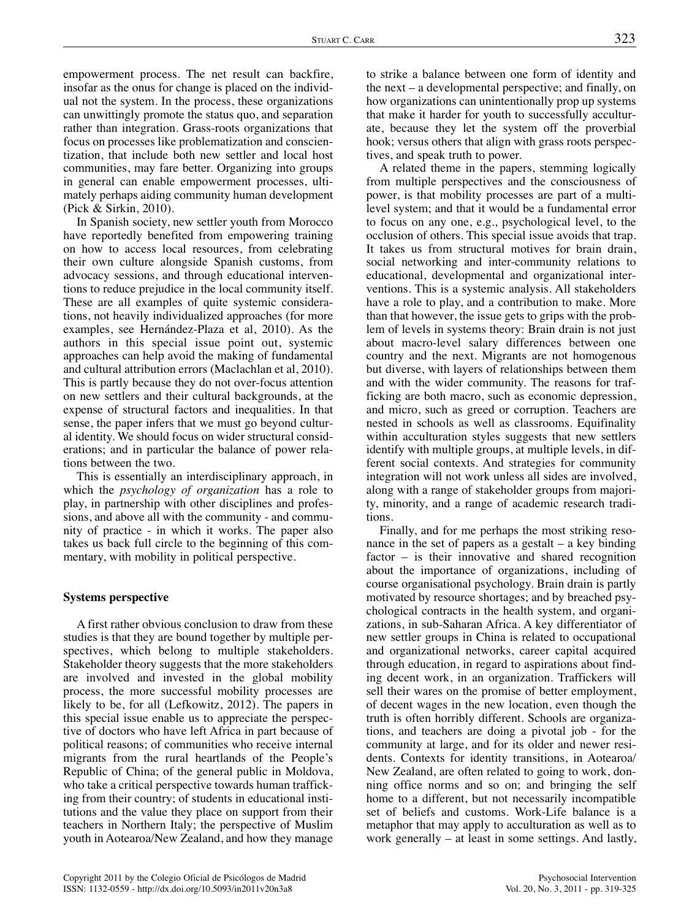empowerment process. The net result can backfire, insofar as the onus for change is placed on the individual not the system. In the process, these organizations can unwittingly promote the status quo, and separation rather than integration. Grass-roots organizations that focus on processes like problematization and conscientization, that include both new settler and local host communities, may fare better. Organizing into groups in general can enable empowerment processes, ultimately perhaps aiding community human development (Pick & Sirkin, 2010).

In Spanish society, new settler youth from Morocco have reportedly benefited from empowering training on how to access local resources, from celebrating their own culture alongside Spanish customs, from advocacy sessions, and through educational interventions to reduce prejudice in the local community itself. These are all examples of quite systemic considerations, not heavily individualized approaches (for more examples, see Hernández-Plaza et al, 2010). As the authors in this special issue point out, systemic approaches can help avoid the making of fundamental and cultural attribution errors (Maclachlan et al, 2010). This is partly because they do not over-focus attention on new settlers and their cultural backgrounds, at the expense of structural factors and inequalities. In that sense, the paper infers that we must go beyond cultural identity. We should focus on wider structural considerations; and in particular the balance of power relations between the two.

This is essentially an interdisciplinary approach, in which the *psychology of organization* has a role to play, in partnership with other disciplines and professions, and above all with the community - and community of practice - in which it works. The paper also takes us back full circle to the beginning of this commentary, with mobility in political perspective.

#### **Systems perspective**

A first rather obvious conclusion to draw from these studies is that they are bound together by multiple perspectives, which belong to multiple stakeholders. Stakeholder theory suggests that the more stakeholders are involved and invested in the global mobility process, the more successful mobility processes are likely to be, for all (Lefkowitz, 2012). The papers in this special issue enable us to appreciate the perspective of doctors who have left Africa in part because of political reasons; of communities who receive internal migrants from the rural heartlands of the People's Republic of China; of the general public in Moldova, who take a critical perspective towards human trafficking from their country; of students in educational institutions and the value they place on support from their teachers in Northern Italy; the perspective of Muslim youth in Aotearoa/New Zealand, and how they manage to strike a balance between one form of identity and the next – a developmental perspective; and finally, on how organizations can unintentionally prop up systems that make it harder for youth to successfully acculturate, because they let the system off the proverbial hook; versus others that align with grass roots perspectives, and speak truth to power.

A related theme in the papers, stemming logically from multiple perspectives and the consciousness of power, is that mobility processes are part of a multilevel system; and that it would be a fundamental error to focus on any one, e.g., psychological level, to the occlusion of others. This special issue avoids that trap. It takes us from structural motives for brain drain, social networking and inter-community relations to educational, developmental and organizational interventions. This is a systemic analysis. All stakeholders have a role to play, and a contribution to make. More than that however, the issue gets to grips with the problem of levels in systems theory: Brain drain is not just about macro-level salary differences between one country and the next. Migrants are not homogenous but diverse, with layers of relationships between them and with the wider community. The reasons for trafficking are both macro, such as economic depression, and micro, such as greed or corruption. Teachers are nested in schools as well as classrooms. Equifinality within acculturation styles suggests that new settlers identify with multiple groups, at multiple levels, in different social contexts. And strategies for community integration will not work unless all sides are involved, along with a range of stakeholder groups from majority, minority, and a range of academic research traditions.

Finally, and for me perhaps the most striking resonance in the set of papers as a gestalt – a key binding factor – is their innovative and shared recognition about the importance of organizations, including of course organisational psychology. Brain drain is partly motivated by resource shortages; and by breached psychological contracts in the health system, and organizations, in sub-Saharan Africa. A key differentiator of new settler groups in China is related to occupational and organizational networks, career capital acquired through education, in regard to aspirations about finding decent work, in an organization. Traffickers will sell their wares on the promise of better employment, of decent wages in the new location, even though the truth is often horribly different. Schools are organizations, and teachers are doing a pivotal job - for the community at large, and for its older and newer residents. Contexts for identity transitions, in Aotearoa/ New Zealand, are often related to going to work, donning office norms and so on; and bringing the self home to a different, but not necessarily incompatible set of beliefs and customs. Work-Life balance is a metaphor that may apply to acculturation as well as to work generally – at least in some settings. And lastly,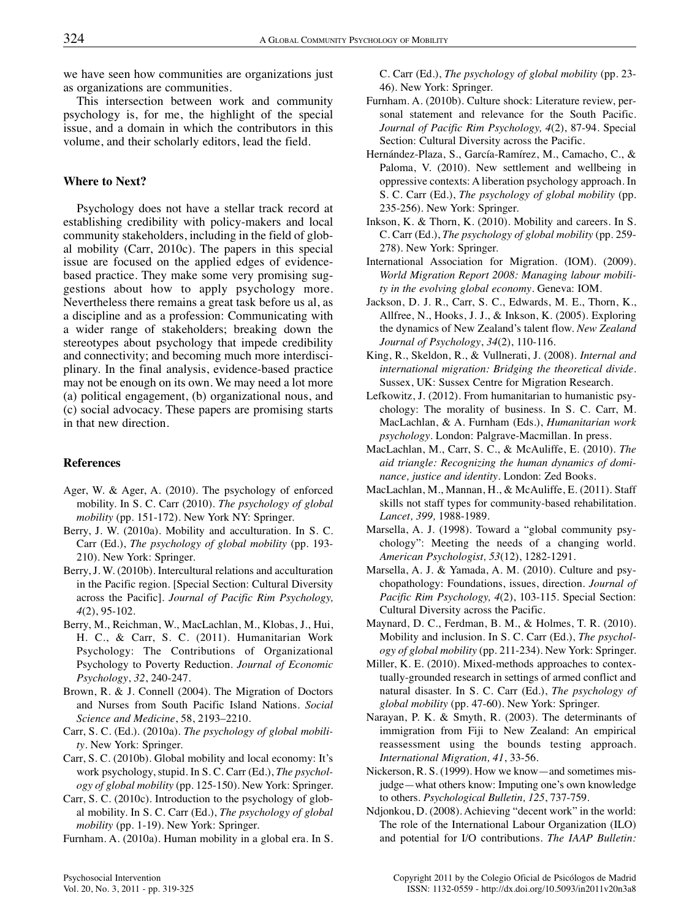we have seen how communities are organizations just as organizations are communities.

This intersection between work and community psychology is, for me, the highlight of the special issue, and a domain in which the contributors in this volume, and their scholarly editors, lead the field.

### **Where to Next?**

Psychology does not have a stellar track record at establishing credibility with policy-makers and local community stakeholders, including in the field of global mobility (Carr, 2010c). The papers in this special issue are focused on the applied edges of evidencebased practice. They make some very promising suggestions about how to apply psychology more. Nevertheless there remains a great task before us al, as a discipline and as a profession: Communicating with a wider range of stakeholders; breaking down the stereotypes about psychology that impede credibility and connectivity; and becoming much more interdisciplinary. In the final analysis, evidence-based practice may not be enough on its own. We may need a lot more (a) political engagement, (b) organizational nous, and (c) social advocacy. These papers are promising starts in that new direction.

#### **References**

- Ager, W. & Ager, A. (2010). The psychology of enforced mobility. In S. C. Carr (2010). *The psychology of global mobility* (pp. 151-172). New York NY: Springer.
- Berry, J. W. (2010a). Mobility and acculturation. In S. C. Carr (Ed.), *The psychology of global mobility* (pp. 193- 210). New York: Springer.
- Berry, J. W. (2010b). Intercultural relations and acculturation in the Pacific region. [Special Section: Cultural Diversity across the Pacific]. *Journal of Pacific Rim Psychology, 4*(2), 95-102.
- Berry, M., Reichman, W., MacLachlan, M., Klobas, J., Hui, H. C., & Carr, S. C. (2011). Humanitarian Work Psychology: The Contributions of Organizational Psychology to Poverty Reduction. *Journal of Economic Psychology*, *32*, 240-247.
- Brown, R. & J. Connell (2004). The Migration of Doctors and Nurses from South Pacific Island Nations. *Social Science and Medicine*, 58, 2193–2210.
- Carr, S. C. (Ed.). (2010a). *The psychology of global mobility*. New York: Springer.
- Carr, S. C. (2010b). Global mobility and local economy: It's work psychology, stupid. In S. C. Carr (Ed.), *The psychology of global mobility* (pp. 125-150). New York: Springer.
- Carr, S. C. (2010c). Introduction to the psychology of global mobility. In S. C. Carr (Ed.), *The psychology of global mobility* (pp. 1-19). New York: Springer.

Furnham. A. (2010a). Human mobility in a global era. In S.

C. Carr (Ed.), *The psychology of global mobility* (pp. 23- 46). New York: Springer.

- Furnham. A. (2010b). Culture shock: Literature review, personal statement and relevance for the South Pacific. *Journal of Pacific Rim Psychology, 4*(2), 87-94. Special Section: Cultural Diversity across the Pacific.
- Hernández-Plaza, S., García-Ramírez, M., Camacho, C., & Paloma, V. (2010). New settlement and wellbeing in oppressive contexts: A liberation psychology approach. In S. C. Carr (Ed.), *The psychology of global mobility* (pp. 235-256). New York: Springer.
- Inkson, K. & Thorn, K. (2010). Mobility and careers. In S. C. Carr (Ed.), *The psychology of global mobility* (pp. 259- 278). New York: Springer.
- International Association for Migration. (IOM). (2009). *World Migration Report 2008: Managing labour mobility in the evolving global economy*. Geneva: IOM.
- Jackson, D. J. R., Carr, S. C., Edwards, M. E., Thorn, K., Allfree, N., Hooks, J. J., & Inkson, K. (2005). Exploring the dynamics of New Zealand's talent flow. *New Zealand Journal of Psychology*, *34*(2), 110-116.
- King, R., Skeldon, R., & Vullnerati, J. (2008). *Internal and international migration: Bridging the theoretical divide*. Sussex, UK: Sussex Centre for Migration Research.
- Lefkowitz, J. (2012). From humanitarian to humanistic psychology: The morality of business. In S. C. Carr, M. MacLachlan, & A. Furnham (Eds.), *Humanitarian work psychology*. London: Palgrave-Macmillan. In press.
- MacLachlan, M., Carr, S. C., & McAuliffe, E. (2010). *The aid triangle: Recognizing the human dynamics of dominance, justice and identity*. London: Zed Books.
- MacLachlan, M., Mannan, H., & McAuliffe, E. (2011). Staff skills not staff types for community-based rehabilitation. *Lancet, 399,* 1988-1989.
- Marsella, A. J. (1998). Toward a "global community psychology": Meeting the needs of a changing world. *American Psychologist, 53*(12), 1282-1291.
- Marsella, A. J. & Yamada, A. M. (2010). Culture and psychopathology: Foundations, issues, direction. *Journal of Pacific Rim Psychology, 4*(2), 103-115. Special Section: Cultural Diversity across the Pacific.
- Maynard, D. C., Ferdman, B. M., & Holmes, T. R. (2010). Mobility and inclusion. In S. C. Carr (Ed.), *The psychology of global mobility* (pp. 211-234). New York: Springer.
- Miller, K. E. (2010). Mixed-methods approaches to contextually-grounded research in settings of armed conflict and natural disaster. In S. C. Carr (Ed.), *The psychology of global mobility* (pp. 47-60). New York: Springer.
- Narayan, P. K. & Smyth, R. (2003). The determinants of immigration from Fiji to New Zealand: An empirical reassessment using the bounds testing approach. *International Migration, 41*, 33-56.
- Nickerson, R. S. (1999). How we know—and sometimes misjudge—what others know: Imputing one's own knowledge to others. *Psychological Bulletin, 125*, 737-759.
- Ndjonkou, D. (2008). Achieving "decent work" in the world: The role of the International Labour Organization (ILO) and potential for I/O contributions. *The IAAP Bulletin:*